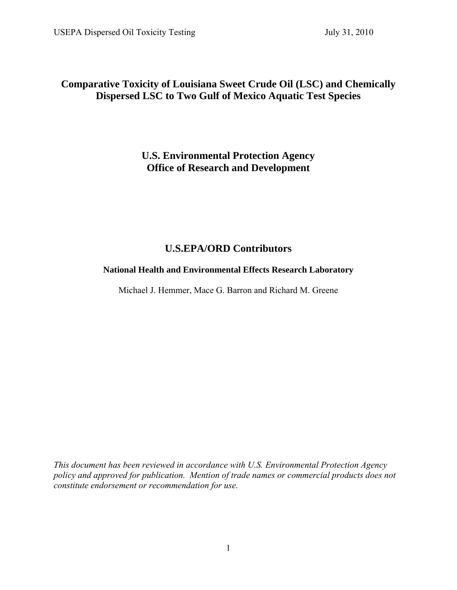# **Comparative Toxicity of Louisiana Sweet Crude Oil (LSC) and Chemically Dispersed LSC to Two Gulf of Mexico Aquatic Test Species**

# **U.S. Environmental Protection Agency Office of Research and Development**

# **U.S.EPA/ORD Contributors**

## **National Health and Environmental Effects Research Laboratory**

Michael J. Hemmer, Mace G. Barron and Richard M. Greene

*This document has been reviewed in accordance with U.S. Environmental Protection Agency policy and approved for publication. Mention of trade names or commercial products does not constitute endorsement or recommendation for use.*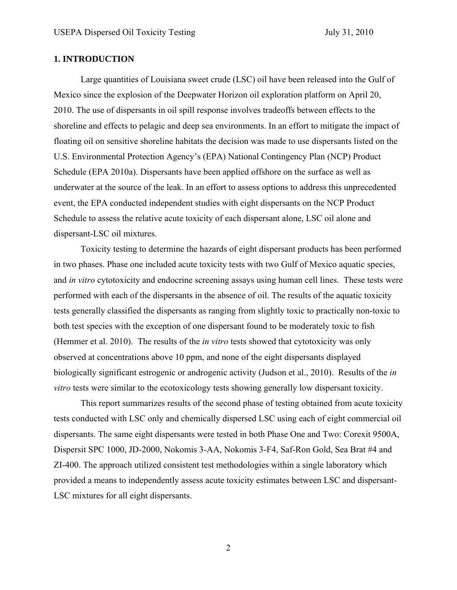## **1. INTRODUCTION**

Large quantities of Louisiana sweet crude (LSC) oil have been released into the Gulf of Mexico since the explosion of the Deepwater Horizon oil exploration platform on April 20, 2010. The use of dispersants in oil spill response involves tradeoffs between effects to the shoreline and effects to pelagic and deep sea environments. In an effort to mitigate the impact of floating oil on sensitive shoreline habitats the decision was made to use dispersants listed on the U.S. Environmental Protection Agency's (EPA) National Contingency Plan (NCP) Product Schedule (EPA 2010a). Dispersants have been applied offshore on the surface as well as underwater at the source of the leak. In an effort to assess options to address this unprecedented event, the EPA conducted independent studies with eight dispersants on the NCP Product Schedule to assess the relative acute toxicity of each dispersant alone, LSC oil alone and dispersant-LSC oil mixtures.

 Toxicity testing to determine the hazards of eight dispersant products has been performed in two phases. Phase one included acute toxicity tests with two Gulf of Mexico aquatic species, and *in vitro* cytotoxicity and endocrine screening assays using human cell lines. These tests were performed with each of the dispersants in the absence of oil. The results of the aquatic toxicity tests generally classified the dispersants as ranging from slightly toxic to practically non-toxic to both test species with the exception of one dispersant found to be moderately toxic to fish (Hemmer et al. 2010). The results of the *in vitro* tests showed that cytotoxicity was only observed at concentrations above 10 ppm, and none of the eight dispersants displayed biologically significant estrogenic or androgenic activity (Judson et al., 2010). Results of the *in vitro* tests were similar to the ecotoxicology tests showing generally low dispersant toxicity.

This report summarizes results of the second phase of testing obtained from acute toxicity tests conducted with LSC only and chemically dispersed LSC using each of eight commercial oil dispersants. The same eight dispersants were tested in both Phase One and Two: Corexit 9500A, Dispersit SPC 1000, JD-2000, Nokomis 3-AA, Nokomis 3-F4, Saf-Ron Gold, Sea Brat #4 and ZI-400. The approach utilized consistent test methodologies within a single laboratory which provided a means to independently assess acute toxicity estimates between LSC and dispersant-LSC mixtures for all eight dispersants.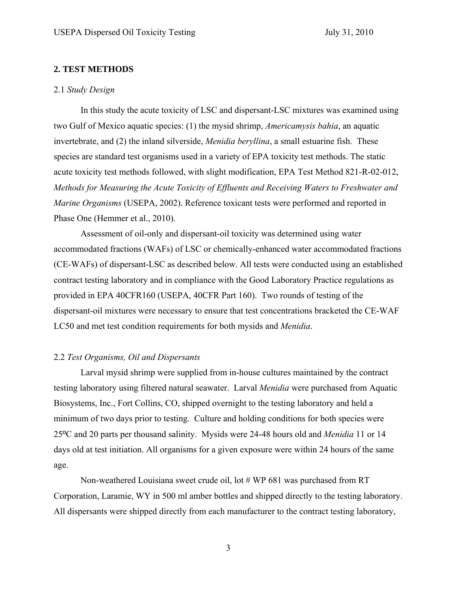## **2. TEST METHODS**

#### 2.1 *Study Design*

In this study the acute toxicity of LSC and dispersant-LSC mixtures was examined using two Gulf of Mexico aquatic species: (1) the mysid shrimp, *Americamysis bahia*, an aquatic invertebrate, and (2) the inland silverside, *Menidia beryllina*, a small estuarine fish. These species are standard test organisms used in a variety of EPA toxicity test methods. The static acute toxicity test methods followed, with slight modification, EPA Test Method 821-R-02-012, *Methods for Measuring the Acute Toxicity of Effluents and Receiving Waters to Freshwater and Marine Organisms* (USEPA, 2002). Reference toxicant tests were performed and reported in Phase One (Hemmer et al., 2010).

Assessment of oil-only and dispersant-oil toxicity was determined using water accommodated fractions (WAFs) of LSC or chemically-enhanced water accommodated fractions (CE-WAFs) of dispersant-LSC as described below. All tests were conducted using an established contract testing laboratory and in compliance with the Good Laboratory Practice regulations as provided in EPA 40CFR160 (USEPA, 40CFR Part 160). Two rounds of testing of the dispersant-oil mixtures were necessary to ensure that test concentrations bracketed the CE-WAF LC50 and met test condition requirements for both mysids and *Menidia*.

## 2.2 *Test Organisms, Oil and Dispersants*

 Larval mysid shrimp were supplied from in-house cultures maintained by the contract testing laboratory using filtered natural seawater. Larval *Menidia* were purchased from Aquatic Biosystems, Inc., Fort Collins, CO, shipped overnight to the testing laboratory and held a minimum of two days prior to testing. Culture and holding conditions for both species were 25ºC and 20 parts per thousand salinity. Mysids were 24-48 hours old and *Menidia* 11 or 14 days old at test initiation. All organisms for a given exposure were within 24 hours of the same age.

 Non-weathered Louisiana sweet crude oil, lot # WP 681 was purchased from RT Corporation, Laramie, WY in 500 ml amber bottles and shipped directly to the testing laboratory. All dispersants were shipped directly from each manufacturer to the contract testing laboratory,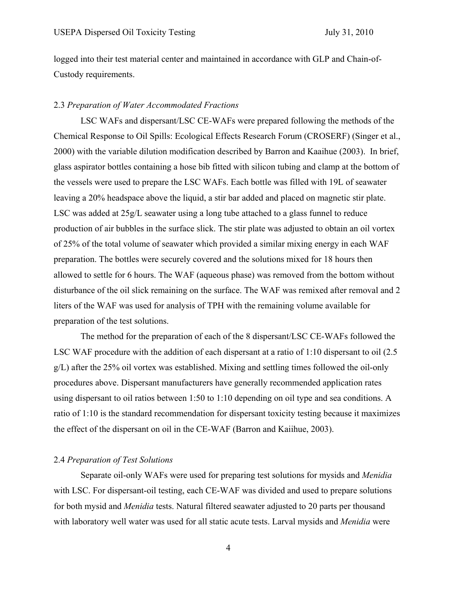logged into their test material center and maintained in accordance with GLP and Chain-of-Custody requirements.

## 2.3 *Preparation of Water Accommodated Fractions*

 LSC WAFs and dispersant/LSC CE-WAFs were prepared following the methods of the Chemical Response to Oil Spills: Ecological Effects Research Forum (CROSERF) (Singer et al., 2000) with the variable dilution modification described by Barron and Kaaihue (2003). In brief, glass aspirator bottles containing a hose bib fitted with silicon tubing and clamp at the bottom of the vessels were used to prepare the LSC WAFs. Each bottle was filled with 19L of seawater leaving a 20% headspace above the liquid, a stir bar added and placed on magnetic stir plate. LSC was added at 25g/L seawater using a long tube attached to a glass funnel to reduce production of air bubbles in the surface slick. The stir plate was adjusted to obtain an oil vortex of 25% of the total volume of seawater which provided a similar mixing energy in each WAF preparation. The bottles were securely covered and the solutions mixed for 18 hours then allowed to settle for 6 hours. The WAF (aqueous phase) was removed from the bottom without disturbance of the oil slick remaining on the surface. The WAF was remixed after removal and 2 liters of the WAF was used for analysis of TPH with the remaining volume available for preparation of the test solutions.

 The method for the preparation of each of the 8 dispersant/LSC CE-WAFs followed the LSC WAF procedure with the addition of each dispersant at a ratio of 1:10 dispersant to oil (2.5 g/L) after the 25% oil vortex was established. Mixing and settling times followed the oil-only procedures above. Dispersant manufacturers have generally recommended application rates using dispersant to oil ratios between 1:50 to 1:10 depending on oil type and sea conditions. A ratio of 1:10 is the standard recommendation for dispersant toxicity testing because it maximizes the effect of the dispersant on oil in the CE-WAF (Barron and Kaiihue, 2003).

#### 2.4 *Preparation of Test Solutions*

 Separate oil-only WAFs were used for preparing test solutions for mysids and *Menidia* with LSC. For dispersant-oil testing, each CE-WAF was divided and used to prepare solutions for both mysid and *Menidia* tests. Natural filtered seawater adjusted to 20 parts per thousand with laboratory well water was used for all static acute tests. Larval mysids and *Menidia* were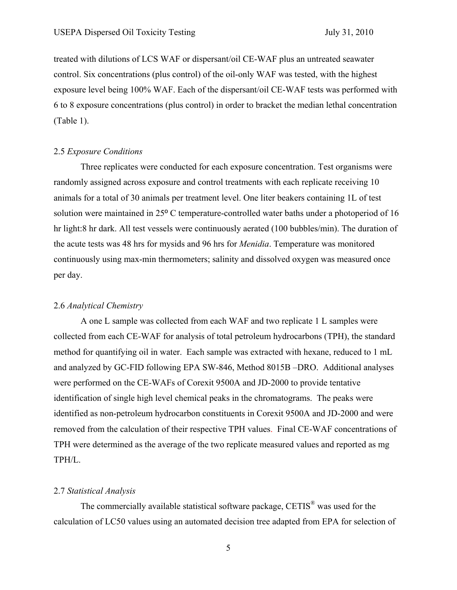treated with dilutions of LCS WAF or dispersant/oil CE-WAF plus an untreated seawater control. Six concentrations (plus control) of the oil-only WAF was tested, with the highest exposure level being 100% WAF. Each of the dispersant/oil CE-WAF tests was performed with 6 to 8 exposure concentrations (plus control) in order to bracket the median lethal concentration (Table 1).

#### 2.5 *Exposure Conditions*

 Three replicates were conducted for each exposure concentration. Test organisms were randomly assigned across exposure and control treatments with each replicate receiving 10 animals for a total of 30 animals per treatment level. One liter beakers containing 1L of test solution were maintained in 25º C temperature-controlled water baths under a photoperiod of 16 hr light:8 hr dark. All test vessels were continuously aerated (100 bubbles/min). The duration of the acute tests was 48 hrs for mysids and 96 hrs for *Menidia*. Temperature was monitored continuously using max-min thermometers; salinity and dissolved oxygen was measured once per day.

#### 2.6 *Analytical Chemistry*

 A one L sample was collected from each WAF and two replicate 1 L samples were collected from each CE-WAF for analysis of total petroleum hydrocarbons (TPH), the standard method for quantifying oil in water. Each sample was extracted with hexane, reduced to 1 mL and analyzed by GC-FID following EPA SW-846, Method 8015B –DRO. Additional analyses were performed on the CE-WAFs of Corexit 9500A and JD-2000 to provide tentative identification of single high level chemical peaks in the chromatograms. The peaks were identified as non-petroleum hydrocarbon constituents in Corexit 9500A and JD-2000 and were removed from the calculation of their respective TPH values. Final CE-WAF concentrations of TPH were determined as the average of the two replicate measured values and reported as mg TPH/L.

#### 2.7 *Statistical Analysis*

 The commercially available statistical software package, CETIS® was used for the calculation of LC50 values using an automated decision tree adapted from EPA for selection of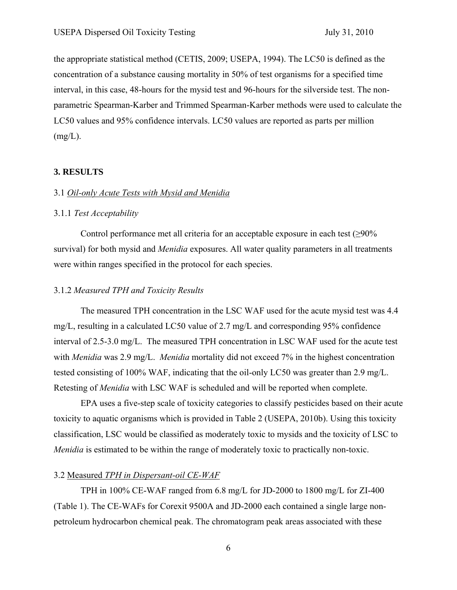the appropriate statistical method (CETIS, 2009; USEPA, 1994). The LC50 is defined as the concentration of a substance causing mortality in 50% of test organisms for a specified time interval, in this case, 48-hours for the mysid test and 96-hours for the silverside test. The nonparametric Spearman-Karber and Trimmed Spearman-Karber methods were used to calculate the LC50 values and 95% confidence intervals. LC50 values are reported as parts per million  $(mg/L)$ .

## **3. RESULTS**

## 3.1 *Oil-only Acute Tests with Mysid and Menidia*

## 3.1.1 *Test Acceptability*

Control performance met all criteria for an acceptable exposure in each test  $(≥90\%$ survival) for both mysid and *Menidia* exposures. All water quality parameters in all treatments were within ranges specified in the protocol for each species.

#### 3.1.2 *Measured TPH and Toxicity Results*

The measured TPH concentration in the LSC WAF used for the acute mysid test was 4.4 mg/L, resulting in a calculated LC50 value of 2.7 mg/L and corresponding 95% confidence interval of 2.5-3.0 mg/L. The measured TPH concentration in LSC WAF used for the acute test with *Menidia* was 2.9 mg/L. *Menidia* mortality did not exceed 7% in the highest concentration tested consisting of 100% WAF, indicating that the oil-only LC50 was greater than 2.9 mg/L. Retesting of *Menidia* with LSC WAF is scheduled and will be reported when complete.

EPA uses a five-step scale of toxicity categories to classify pesticides based on their acute toxicity to aquatic organisms which is provided in Table 2 (USEPA, 2010b). Using this toxicity classification, LSC would be classified as moderately toxic to mysids and the toxicity of LSC to *Menidia* is estimated to be within the range of moderately toxic to practically non-toxic.

## 3.2 Measured *TPH in Dispersant-oil CE-WAF*

TPH in 100% CE-WAF ranged from 6.8 mg/L for JD-2000 to 1800 mg/L for ZI-400 (Table 1). The CE-WAFs for Corexit 9500A and JD-2000 each contained a single large nonpetroleum hydrocarbon chemical peak. The chromatogram peak areas associated with these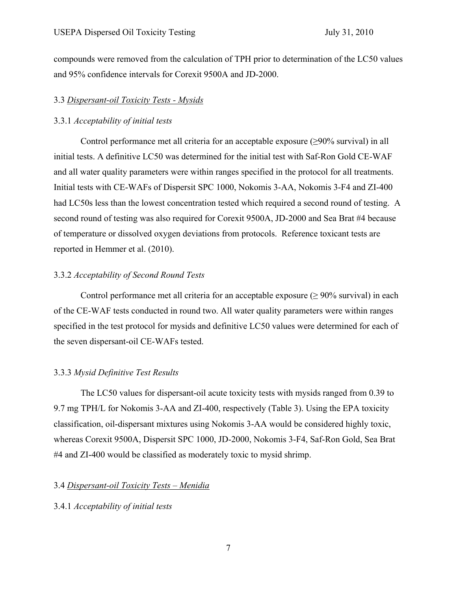compounds were removed from the calculation of TPH prior to determination of the LC50 values and 95% confidence intervals for Corexit 9500A and JD-2000.

## 3.3 *Dispersant-oil Toxicity Tests - Mysids*

## 3.3.1 *Acceptability of initial tests*

Control performance met all criteria for an acceptable exposure  $(\geq 90\%$  survival) in all initial tests. A definitive LC50 was determined for the initial test with Saf-Ron Gold CE-WAF and all water quality parameters were within ranges specified in the protocol for all treatments. Initial tests with CE-WAFs of Dispersit SPC 1000, Nokomis 3-AA, Nokomis 3-F4 and ZI-400 had LC50s less than the lowest concentration tested which required a second round of testing. A second round of testing was also required for Corexit 9500A, JD-2000 and Sea Brat #4 because of temperature or dissolved oxygen deviations from protocols. Reference toxicant tests are reported in Hemmer et al. (2010).

## 3.3.2 *Acceptability of Second Round Tests*

Control performance met all criteria for an acceptable exposure ( $\geq$  90% survival) in each of the CE-WAF tests conducted in round two. All water quality parameters were within ranges specified in the test protocol for mysids and definitive LC50 values were determined for each of the seven dispersant-oil CE-WAFs tested.

## 3.3.3 *Mysid Definitive Test Results*

The LC50 values for dispersant-oil acute toxicity tests with mysids ranged from 0.39 to 9.7 mg TPH/L for Nokomis 3-AA and ZI-400, respectively (Table 3). Using the EPA toxicity classification, oil-dispersant mixtures using Nokomis 3-AA would be considered highly toxic, whereas Corexit 9500A, Dispersit SPC 1000, JD-2000, Nokomis 3-F4, Saf-Ron Gold, Sea Brat #4 and ZI-400 would be classified as moderately toxic to mysid shrimp.

## 3.4 *Dispersant-oil Toxicity Tests – Menidia*

## 3.4.1 *Acceptability of initial tests*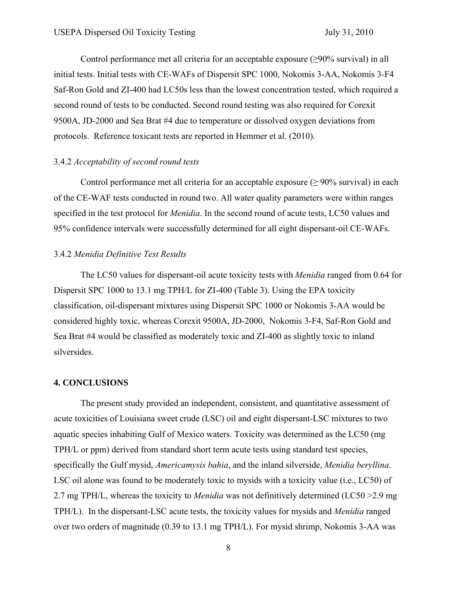Control performance met all criteria for an acceptable exposure ( $\geq$ 90% survival) in all initial tests. Initial tests with CE-WAFs of Dispersit SPC 1000, Nokomis 3-AA, Nokomis 3-F4 Saf-Ron Gold and ZI-400 had LC50s less than the lowest concentration tested, which required a second round of tests to be conducted. Second round testing was also required for Corexit 9500A, JD-2000 and Sea Brat #4 due to temperature or dissolved oxygen deviations from protocols. Reference toxicant tests are reported in Hemmer et al. (2010).

## 3.4.2 *Acceptability of second round tests*

Control performance met all criteria for an acceptable exposure ( $\geq$  90% survival) in each of the CE-WAF tests conducted in round two. All water quality parameters were within ranges specified in the test protocol for *Menidia*. In the second round of acute tests, LC50 values and 95% confidence intervals were successfully determined for all eight dispersant-oil CE-WAFs.

## 3.4.2 *Menidia Definitive Test Results*

The LC50 values for dispersant-oil acute toxicity tests with *Menidia* ranged from 0.64 for Dispersit SPC 1000 to 13.1 mg TPH/L for ZI-400 (Table 3). Using the EPA toxicity classification, oil-dispersant mixtures using Dispersit SPC 1000 or Nokomis 3-AA would be considered highly toxic, whereas Corexit 9500A, JD-2000, Nokomis 3-F4, Saf-Ron Gold and Sea Brat #4 would be classified as moderately toxic and ZI-400 as slightly toxic to inland silversides.

#### **4. CONCLUSIONS**

The present study provided an independent, consistent, and quantitative assessment of acute toxicities of Louisiana sweet crude (LSC) oil and eight dispersant-LSC mixtures to two aquatic species inhabiting Gulf of Mexico waters. Toxicity was determined as the LC50 (mg TPH/L or ppm) derived from standard short term acute tests using standard test species, specifically the Gulf mysid, *Americamysis bahia*, and the inland silverside, *Menidia beryllina*. LSC oil alone was found to be moderately toxic to mysids with a toxicity value (i.e., LC50) of 2.7 mg TPH/L, whereas the toxicity to *Menidia* was not definitively determined (LC50 >2.9 mg TPH/L). In the dispersant-LSC acute tests, the toxicity values for mysids and *Menidia* ranged over two orders of magnitude (0.39 to 13.1 mg TPH/L). For mysid shrimp, Nokomis 3-AA was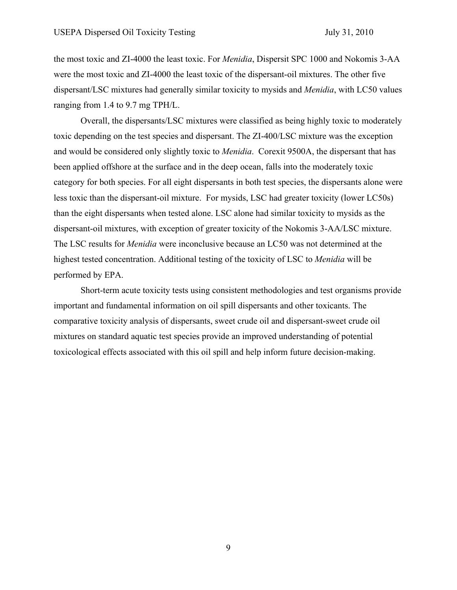the most toxic and ZI-4000 the least toxic. For *Menidia*, Dispersit SPC 1000 and Nokomis 3-AA were the most toxic and ZI-4000 the least toxic of the dispersant-oil mixtures. The other five dispersant/LSC mixtures had generally similar toxicity to mysids and *Menidia*, with LC50 values ranging from 1.4 to 9.7 mg TPH/L.

Overall, the dispersants/LSC mixtures were classified as being highly toxic to moderately toxic depending on the test species and dispersant. The ZI-400/LSC mixture was the exception and would be considered only slightly toxic to *Menidia*. Corexit 9500A, the dispersant that has been applied offshore at the surface and in the deep ocean, falls into the moderately toxic category for both species. For all eight dispersants in both test species, the dispersants alone were less toxic than the dispersant-oil mixture. For mysids, LSC had greater toxicity (lower LC50s) than the eight dispersants when tested alone. LSC alone had similar toxicity to mysids as the dispersant-oil mixtures, with exception of greater toxicity of the Nokomis 3-AA/LSC mixture. The LSC results for *Menidia* were inconclusive because an LC50 was not determined at the highest tested concentration. Additional testing of the toxicity of LSC to *Menidia* will be performed by EPA.

Short-term acute toxicity tests using consistent methodologies and test organisms provide important and fundamental information on oil spill dispersants and other toxicants. The comparative toxicity analysis of dispersants, sweet crude oil and dispersant-sweet crude oil mixtures on standard aquatic test species provide an improved understanding of potential toxicological effects associated with this oil spill and help inform future decision-making.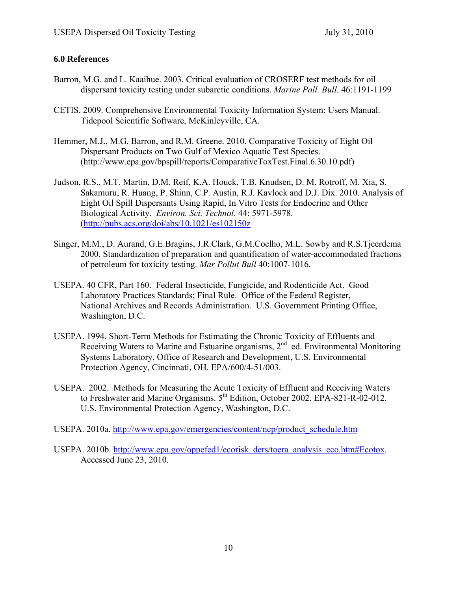## **6.0 References**

- Barron, M.G. and L. Kaaihue. 2003. Critical evaluation of CROSERF test methods for oil dispersant toxicity testing under subarctic conditions. *Marine Poll. Bull.* 46:1191-1199
- CETIS. 2009. Comprehensive Environmental Toxicity Information System: Users Manual. Tidepool Scientific Software, McKinleyville, CA.
- Hemmer, M.J., M.G. Barron, and R.M. Greene. 2010. Comparative Toxicity of Eight Oil Dispersant Products on Two Gulf of Mexico Aquatic Test Species. (http://www.epa.gov/bpspill/reports/ComparativeToxTest.Final.6.30.10.pdf)
- Judson, R.S., M.T. Martin, D.M. Reif, K.A. Houck, T.B. Knudsen, D. M. Rotroff, M. Xia, S. Sakamuru, R. Huang, P. Shinn, C.P. Austin, R.J. Kavlock and D.J. Dix. 2010. Analysis of Eight Oil Spill Dispersants Using Rapid, In Vitro Tests for Endocrine and Other Biological Activity. *Environ. Sci. Technol*. 44: 5971-5978. (http://pubs.acs.org/doi/abs/10.1021/es102150z
- Singer, M.M., D. Aurand, G.E.Bragins, J.R.Clark, G.M.Coelho, M.L. Sowby and R.S.Tjeerdema 2000. Standardization of preparation and quantification of water-accommodated fractions of petroleum for toxicity testing. *Mar Pollut Bull* 40:1007-1016.
- USEPA. 40 CFR, Part 160. Federal Insecticide, Fungicide, and Rodenticide Act. Good Laboratory Practices Standards; Final Rule. Office of the Federal Register, National Archives and Records Administration. U.S. Government Printing Office, Washington, D.C.
- USEPA. 1994. Short-Term Methods for Estimating the Chronic Toxicity of Effluents and Receiving Waters to Marine and Estuarine organisms,  $2<sup>nd</sup>$  ed. Environmental Monitoring Systems Laboratory, Office of Research and Development, U.S. Environmental Protection Agency, Cincinnati, OH. EPA/600/4-51/003.
- USEPA. 2002. Methods for Measuring the Acute Toxicity of Effluent and Receiving Waters to Freshwater and Marine Organisms. 5<sup>th</sup> Edition, October 2002. EPA-821-R-02-012. U.S. Environmental Protection Agency, Washington, D.C.
- USEPA. 2010a. http://www.epa.gov/emergencies/content/ncp/product\_schedule.htm
- USEPA. 2010b. http://www.epa.gov/oppefed1/ecorisk\_ders/toera\_analysis\_eco.htm#Ecotox. Accessed June 23, 2010.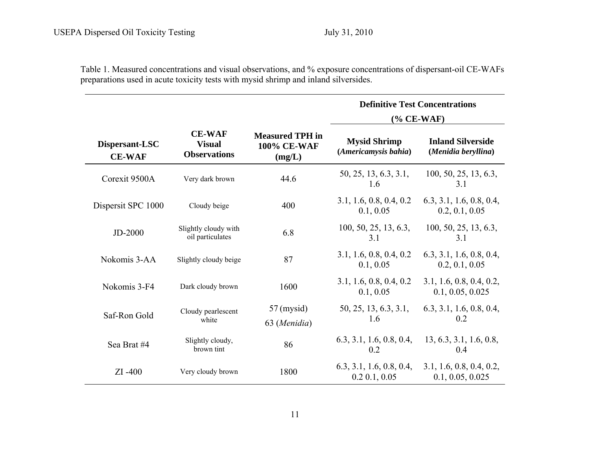Table 1. Measured concentrations and visual observations, and % exposure concentrations of dispersant-oil CE-WAFs preparations used in acute toxicity tests with mysid shrimp and inland silversides.

|                                 |                                                       |                                                 | <b>Definitive Test Concentrations</b><br>$(\%$ CE-WAF) |                                                 |  |  |
|---------------------------------|-------------------------------------------------------|-------------------------------------------------|--------------------------------------------------------|-------------------------------------------------|--|--|
|                                 |                                                       |                                                 |                                                        |                                                 |  |  |
| Dispersant-LSC<br><b>CE-WAF</b> | <b>CE-WAF</b><br><b>Visual</b><br><b>Observations</b> | <b>Measured TPH</b> in<br>100% CE-WAF<br>(mg/L) | <b>Mysid Shrimp</b><br>(Americamysis bahia)            | <b>Inland Silverside</b><br>(Menidia beryllina) |  |  |
| Corexit 9500A                   | Very dark brown                                       | 44.6                                            | 50, 25, 13, 6.3, 3.1,<br>1.6                           | 100, 50, 25, 13, 6.3,<br>3.1                    |  |  |
| Dispersit SPC 1000              | Cloudy beige                                          | 400                                             | 3.1, 1.6, 0.8, 0.4, 0.2<br>0.1, 0.05                   | 6.3, 3.1, 1.6, 0.8, 0.4,<br>0.2, 0.1, 0.05      |  |  |
| JD-2000                         | Slightly cloudy with<br>oil particulates              | 6.8                                             | 100, 50, 25, 13, 6.3,<br>3.1                           | 100, 50, 25, 13, 6.3,<br>3.1                    |  |  |
| Nokomis 3-AA                    | Slightly cloudy beige                                 | 87                                              | 3.1, 1.6, 0.8, 0.4, 0.2<br>0.1, 0.05                   | 6.3, 3.1, 1.6, 0.8, 0.4,<br>0.2, 0.1, 0.05      |  |  |
| Nokomis 3-F4                    | Dark cloudy brown                                     | 1600                                            | 3.1, 1.6, 0.8, 0.4, 0.2<br>0.1, 0.05                   | 3.1, 1.6, 0.8, 0.4, 0.2,<br>0.1, 0.05, 0.025    |  |  |
| Saf-Ron Gold                    | Cloudy pearlescent<br>white                           | $57$ (mysid)<br>63 (Menidia)                    | 50, 25, 13, 6.3, 3.1,<br>1.6                           | 6.3, 3.1, 1.6, 0.8, 0.4,<br>0.2                 |  |  |
| Sea Brat #4                     | Slightly cloudy,<br>brown tint                        | 86                                              | 6.3, 3.1, 1.6, 0.8, 0.4,<br>0.2                        | 13, 6.3, 3.1, 1.6, 0.8,<br>0.4                  |  |  |
| $ZI - 400$                      | Very cloudy brown                                     | 1800                                            | 6.3, 3.1, 1.6, 0.8, 0.4,<br>0.2 0.1, 0.05              | 3.1, 1.6, 0.8, 0.4, 0.2,<br>0.1, 0.05, 0.025    |  |  |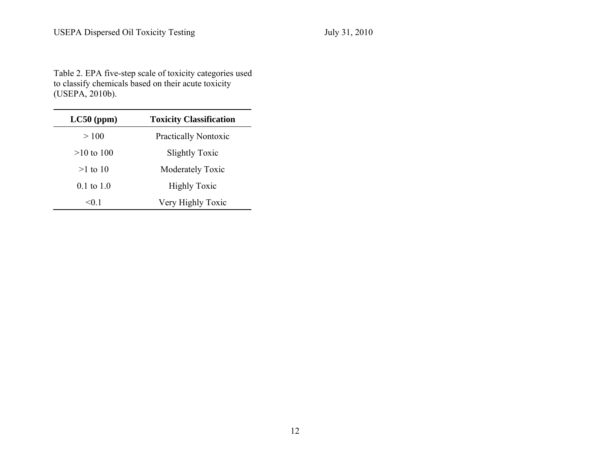Table 2. EPA five-step scale of toxicity categories used to classify chemicals based on their acute toxicity (USEPA, 2010b).

| $LC50$ (ppm)          | <b>Toxicity Classification</b> |
|-----------------------|--------------------------------|
| >100                  | <b>Practically Nontoxic</b>    |
| $>10$ to 100          | <b>Slightly Toxic</b>          |
| $>1$ to 10            | Moderately Toxic               |
| $0.1 \text{ to } 1.0$ | <b>Highly Toxic</b>            |
| < 0.1                 | Very Highly Toxic              |